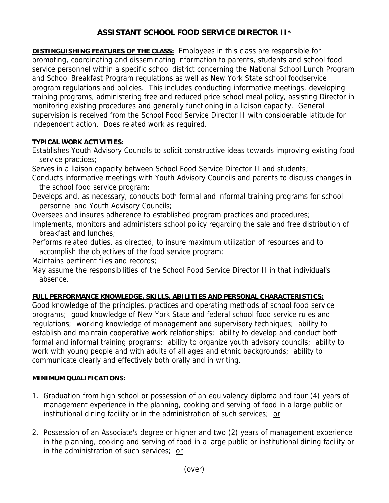## **ASSISTANT SCHOOL FOOD SERVICE DIRECTOR II\***

**DISTINGUISHING FEATURES OF THE CLASS:** Employees in this class are responsible for promoting, coordinating and disseminating information to parents, students and school food service personnel within a specific school district concerning the National School Lunch Program and School Breakfast Program regulations as well as New York State school foodservice program regulations and policies. This includes conducting informative meetings, developing training programs, administering free and reduced price school meal policy, assisting Director in monitoring existing procedures and generally functioning in a liaison capacity. General supervision is received from the School Food Service Director II with considerable latitude for independent action. Does related work as required.

## **TYPICAL WORK ACTIVITIES:**

Establishes Youth Advisory Councils to solicit constructive ideas towards improving existing food service practices;

Serves in a liaison capacity between School Food Service Director II and students;

- Conducts informative meetings with Youth Advisory Councils and parents to discuss changes in the school food service program;
- Develops and, as necessary, conducts both formal and informal training programs for school personnel and Youth Advisory Councils;

Oversees and insures adherence to established program practices and procedures;

Implements, monitors and administers school policy regarding the sale and free distribution of breakfast and lunches;

Performs related duties, as directed, to insure maximum utilization of resources and to accomplish the objectives of the food service program;

Maintains pertinent files and records;

May assume the responsibilities of the School Food Service Director II in that individual's absence.

## **FULL PERFORMANCE KNOWLEDGE, SKILLS, ABILITIES AND PERSONAL CHARACTERISTICS:**

Good knowledge of the principles, practices and operating methods of school food service programs; good knowledge of New York State and federal school food service rules and regulations; working knowledge of management and supervisory techniques; ability to establish and maintain cooperative work relationships; ability to develop and conduct both formal and informal training programs; ability to organize youth advisory councils; ability to work with young people and with adults of all ages and ethnic backgrounds; ability to communicate clearly and effectively both orally and in writing.

## **MINIMUM QUALIFICATIONS:**

- 1. Graduation from high school or possession of an equivalency diploma and four (4) years of management experience in the planning, cooking and serving of food in a large public or institutional dining facility or in the administration of such services; or
- 2. Possession of an Associate's degree or higher and two (2) years of management experience in the planning, cooking and serving of food in a large public or institutional dining facility or in the administration of such services; or